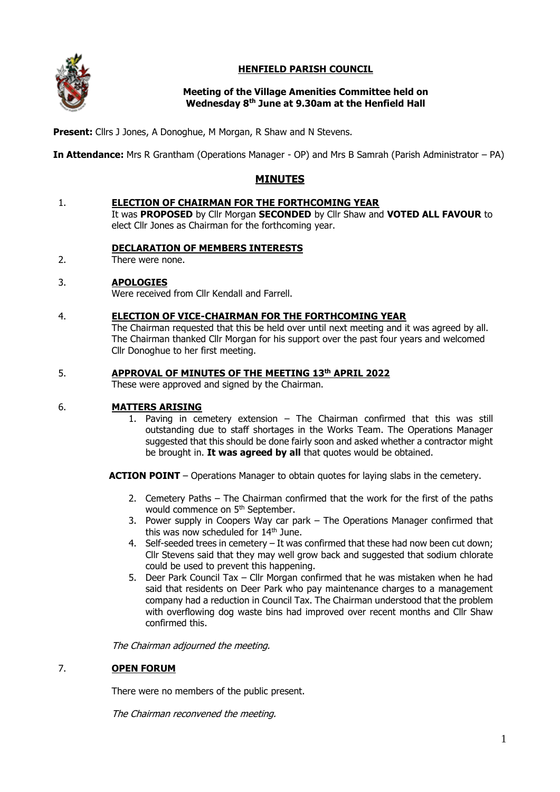

# **HENFIELD PARISH COUNCIL**

## **Meeting of the Village Amenities Committee held on Wednesday 8th June at 9.30am at the Henfield Hall**

**Present:** Cllrs J Jones, A Donoghue, M Morgan, R Shaw and N Stevens.

**In Attendance:** Mrs R Grantham (Operations Manager - OP) and Mrs B Samrah (Parish Administrator – PA)

# **MINUTES**

#### 1. **ELECTION OF CHAIRMAN FOR THE FORTHCOMING YEAR**

It was **PROPOSED** by Cllr Morgan **SECONDED** by Cllr Shaw and **VOTED ALL FAVOUR** to elect Cllr Jones as Chairman for the forthcoming year.

## **DECLARATION OF MEMBERS INTERESTS**

 $2<sub>1</sub>$ There were none.

#### 3. **APOLOGIES**

Were received from Cllr Kendall and Farrell.

#### 4. **ELECTION OF VICE-CHAIRMAN FOR THE FORTHCOMING YEAR**

The Chairman requested that this be held over until next meeting and it was agreed by all. The Chairman thanked Cllr Morgan for his support over the past four years and welcomed Cllr Donoghue to her first meeting.

## 5. **APPROVAL OF MINUTES OF THE MEETING 13th APRIL 2022**

These were approved and signed by the Chairman.

## 6. **MATTERS ARISING**

1. Paving in cemetery extension – The Chairman confirmed that this was still outstanding due to staff shortages in the Works Team. The Operations Manager suggested that this should be done fairly soon and asked whether a contractor might be brought in. **It was agreed by all** that quotes would be obtained.

**ACTION POINT** – Operations Manager to obtain quotes for laying slabs in the cemetery.

- 2. Cemetery Paths The Chairman confirmed that the work for the first of the paths would commence on 5<sup>th</sup> September.
- 3. Power supply in Coopers Way car park The Operations Manager confirmed that this was now scheduled for  $14<sup>th</sup>$  June.
- 4. Self-seeded trees in cemetery It was confirmed that these had now been cut down; Cllr Stevens said that they may well grow back and suggested that sodium chlorate could be used to prevent this happening.
- 5. Deer Park Council Tax Cllr Morgan confirmed that he was mistaken when he had said that residents on Deer Park who pay maintenance charges to a management company had a reduction in Council Tax. The Chairman understood that the problem with overflowing dog waste bins had improved over recent months and Cllr Shaw confirmed this.

The Chairman adjourned the meeting.

## 7. **OPEN FORUM**

There were no members of the public present.

The Chairman reconvened the meeting.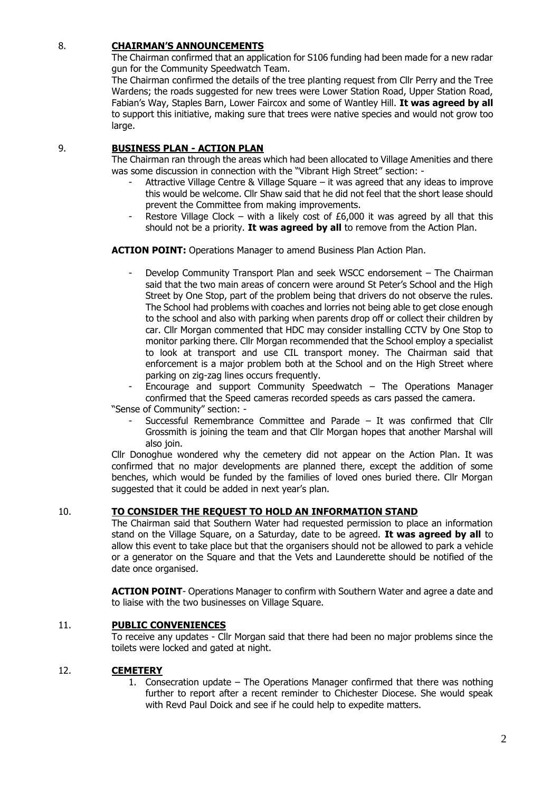# 8. **CHAIRMAN'S ANNOUNCEMENTS**

The Chairman confirmed that an application for S106 funding had been made for a new radar gun for the Community Speedwatch Team.

The Chairman confirmed the details of the tree planting request from Cllr Perry and the Tree Wardens; the roads suggested for new trees were Lower Station Road, Upper Station Road, Fabian's Way, Staples Barn, Lower Faircox and some of Wantley Hill. **It was agreed by all** to support this initiative, making sure that trees were native species and would not grow too large.

### 9. **BUSINESS PLAN - ACTION PLAN**

The Chairman ran through the areas which had been allocated to Village Amenities and there was some discussion in connection with the "Vibrant High Street" section: -

- Attractive Village Centre & Village Square it was agreed that any ideas to improve this would be welcome. Cllr Shaw said that he did not feel that the short lease should prevent the Committee from making improvements.
- Restore Village Clock with a likely cost of £6,000 it was agreed by all that this should not be a priority. **It was agreed by all** to remove from the Action Plan.

**ACTION POINT:** Operations Manager to amend Business Plan Action Plan.

- Develop Community Transport Plan and seek WSCC endorsement The Chairman said that the two main areas of concern were around St Peter's School and the High Street by One Stop, part of the problem being that drivers do not observe the rules. The School had problems with coaches and lorries not being able to get close enough to the school and also with parking when parents drop off or collect their children by car. Cllr Morgan commented that HDC may consider installing CCTV by One Stop to monitor parking there. Cllr Morgan recommended that the School employ a specialist to look at transport and use CIL transport money. The Chairman said that enforcement is a major problem both at the School and on the High Street where parking on zig-zag lines occurs frequently.
- Encourage and support Community Speedwatch  $-$  The Operations Manager confirmed that the Speed cameras recorded speeds as cars passed the camera.

"Sense of Community" section: -

Successful Remembrance Committee and Parade – It was confirmed that Cllr Grossmith is joining the team and that Cllr Morgan hopes that another Marshal will also join.

Cllr Donoghue wondered why the cemetery did not appear on the Action Plan. It was confirmed that no major developments are planned there, except the addition of some benches, which would be funded by the families of loved ones buried there. Cllr Morgan suggested that it could be added in next year's plan.

### 10. **TO CONSIDER THE REQUEST TO HOLD AN INFORMATION STAND**

The Chairman said that Southern Water had requested permission to place an information stand on the Village Square, on a Saturday, date to be agreed. **It was agreed by all** to allow this event to take place but that the organisers should not be allowed to park a vehicle or a generator on the Square and that the Vets and Launderette should be notified of the date once organised.

**ACTION POINT**- Operations Manager to confirm with Southern Water and agree a date and to liaise with the two businesses on Village Square.

### 11. **PUBLIC CONVENIENCES**

To receive any updates - Cllr Morgan said that there had been no major problems since the toilets were locked and gated at night.

## 12. **CEMETERY**

1. Consecration update – The Operations Manager confirmed that there was nothing further to report after a recent reminder to Chichester Diocese. She would speak with Revd Paul Doick and see if he could help to expedite matters.